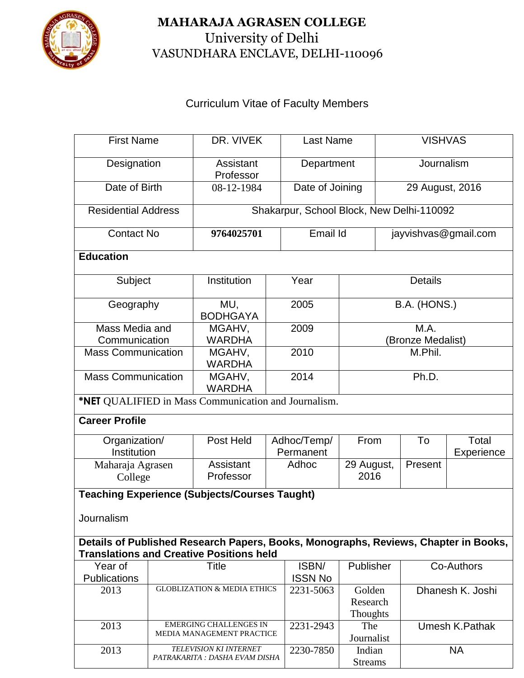

## **MAHARAJA AGRASEN COLLEGE** University of Delhi VASUNDHARA ENCLAVE, DELHI-110096

## Curriculum Vitae of Faculty Members

| <b>First Name</b>                                                                                                                      |                                        | DR. VIVEK                                            |                                                          | <b>Last Name</b> |                                | <b>VISHVAS</b>                        |                  |            |  |  |  |
|----------------------------------------------------------------------------------------------------------------------------------------|----------------------------------------|------------------------------------------------------|----------------------------------------------------------|------------------|--------------------------------|---------------------------------------|------------------|------------|--|--|--|
| Designation                                                                                                                            |                                        | Assistant<br>Professor                               |                                                          | Department       |                                | Journalism                            |                  |            |  |  |  |
| Date of Birth                                                                                                                          |                                        | 08-12-1984                                           |                                                          | Date of Joining  |                                |                                       | 29 August, 2016  |            |  |  |  |
| <b>Residential Address</b>                                                                                                             |                                        | Shakarpur, School Block, New Delhi-110092            |                                                          |                  |                                |                                       |                  |            |  |  |  |
| <b>Contact No</b>                                                                                                                      |                                        | 9764025701                                           |                                                          | Email Id         |                                | jayvishvas@gmail.com                  |                  |            |  |  |  |
| <b>Education</b>                                                                                                                       |                                        |                                                      |                                                          |                  |                                |                                       |                  |            |  |  |  |
| Subject                                                                                                                                |                                        | Institution                                          |                                                          | Year             | <b>Details</b>                 |                                       |                  |            |  |  |  |
| Geography                                                                                                                              |                                        | MU,<br><b>BODHGAYA</b>                               |                                                          | 2005             | B.A. (HONS.)                   |                                       |                  |            |  |  |  |
| Mass Media and                                                                                                                         |                                        | MGAHV,                                               |                                                          | 2009             | M.A.                           |                                       |                  |            |  |  |  |
| Communication                                                                                                                          |                                        | <b>WARDHA</b>                                        |                                                          |                  | (Bronze Medalist)              |                                       |                  |            |  |  |  |
| <b>Mass Communication</b>                                                                                                              |                                        | MGAHV,<br><b>WARDHA</b>                              |                                                          | 2010             | M.Phil.                        |                                       |                  |            |  |  |  |
| <b>Mass Communication</b>                                                                                                              |                                        | MGAHV,<br><b>WARDHA</b>                              |                                                          | 2014             | Ph.D.                          |                                       |                  |            |  |  |  |
| *NET QUALIFIED in Mass Communication and Journalism.                                                                                   |                                        |                                                      |                                                          |                  |                                |                                       |                  |            |  |  |  |
| <b>Career Profile</b>                                                                                                                  |                                        |                                                      |                                                          |                  |                                |                                       |                  |            |  |  |  |
| Organization/                                                                                                                          |                                        | Post Held                                            |                                                          | Adhoc/Temp/      | From                           |                                       | To               | Total      |  |  |  |
| Institution                                                                                                                            |                                        |                                                      |                                                          | Permanent        |                                |                                       |                  | Experience |  |  |  |
| Maharaja Agrasen                                                                                                                       |                                        | Assistant                                            |                                                          | Adhoc            | 29 August,                     |                                       | Present          |            |  |  |  |
| College                                                                                                                                |                                        | Professor                                            |                                                          |                  | 2016                           |                                       |                  |            |  |  |  |
|                                                                                                                                        |                                        | <b>Teaching Experience (Subjects/Courses Taught)</b> |                                                          |                  |                                |                                       |                  |            |  |  |  |
| Journalism                                                                                                                             |                                        |                                                      |                                                          |                  |                                |                                       |                  |            |  |  |  |
| Details of Published Research Papers, Books, Monographs, Reviews, Chapter in Books,<br><b>Translations and Creative Positions held</b> |                                        |                                                      |                                                          |                  |                                |                                       |                  |            |  |  |  |
| Year of                                                                                                                                | Title                                  |                                                      |                                                          | ISBN/            | Publisher                      | Co-Authors                            |                  |            |  |  |  |
| <b>Publications</b>                                                                                                                    |                                        |                                                      |                                                          | <b>ISSN No</b>   |                                |                                       |                  |            |  |  |  |
| 2013                                                                                                                                   | <b>GLOBLIZATION &amp; MEDIA ETHICS</b> |                                                      |                                                          | 2231-5063        | Golden<br>Research<br>Thoughts |                                       | Dhanesh K. Joshi |            |  |  |  |
| 2013                                                                                                                                   |                                        | <b>EMERGING CHALLENGES IN</b>                        |                                                          | 2231-2943        | The                            | Umesh K.Pathak                        |                  |            |  |  |  |
|                                                                                                                                        |                                        | MEDIA MANAGEMENT PRACTICE                            |                                                          | 2230-7850        | Journalist                     |                                       |                  |            |  |  |  |
|                                                                                                                                        | 2013                                   |                                                      | TELEVISION KI INTERNET<br>PATRAKARITA : DASHA EVAM DISHA |                  |                                | Indian<br><b>NA</b><br><b>Streams</b> |                  |            |  |  |  |